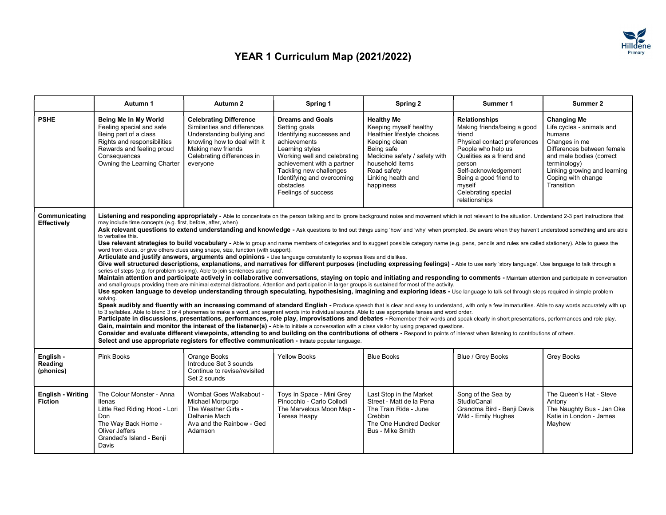

## YEAR 1 Curriculum Map (2021/2022)

|                                            | Autumn 1                                                                                                                                                                                                                                                                                                                                                                                                                                                                                                                                                                                                                                                                                                                                                                                                                                                                                                                                                                                                                                                                                                                                                                                                                                                                                                                                                                                                                                                                                                                                                                                                                                                                                                                                                                                                                                                                                                                                                                                                                                                                                                                                                                                                                                                                                                                                                                                                                                                                                                                                                                                                                                                                                                                                                                         | Autumn 2                                                                                                                                                                                    | Spring 1                                                                                                                                                                                                                                                            | Spring 2                                                                                                                                                                                                        | Summer 1                                                                                                                                                                                                                                                       | Summer 2                                                                                                                                                                                                                 |  |  |
|--------------------------------------------|----------------------------------------------------------------------------------------------------------------------------------------------------------------------------------------------------------------------------------------------------------------------------------------------------------------------------------------------------------------------------------------------------------------------------------------------------------------------------------------------------------------------------------------------------------------------------------------------------------------------------------------------------------------------------------------------------------------------------------------------------------------------------------------------------------------------------------------------------------------------------------------------------------------------------------------------------------------------------------------------------------------------------------------------------------------------------------------------------------------------------------------------------------------------------------------------------------------------------------------------------------------------------------------------------------------------------------------------------------------------------------------------------------------------------------------------------------------------------------------------------------------------------------------------------------------------------------------------------------------------------------------------------------------------------------------------------------------------------------------------------------------------------------------------------------------------------------------------------------------------------------------------------------------------------------------------------------------------------------------------------------------------------------------------------------------------------------------------------------------------------------------------------------------------------------------------------------------------------------------------------------------------------------------------------------------------------------------------------------------------------------------------------------------------------------------------------------------------------------------------------------------------------------------------------------------------------------------------------------------------------------------------------------------------------------------------------------------------------------------------------------------------------------|---------------------------------------------------------------------------------------------------------------------------------------------------------------------------------------------|---------------------------------------------------------------------------------------------------------------------------------------------------------------------------------------------------------------------------------------------------------------------|-----------------------------------------------------------------------------------------------------------------------------------------------------------------------------------------------------------------|----------------------------------------------------------------------------------------------------------------------------------------------------------------------------------------------------------------------------------------------------------------|--------------------------------------------------------------------------------------------------------------------------------------------------------------------------------------------------------------------------|--|--|
| <b>PSHE</b>                                | Being Me In My World<br>Feeling special and safe<br>Being part of a class<br>Rights and responsibilities<br>Rewards and feeling proud<br>Consequences<br>Owning the Learning Charter                                                                                                                                                                                                                                                                                                                                                                                                                                                                                                                                                                                                                                                                                                                                                                                                                                                                                                                                                                                                                                                                                                                                                                                                                                                                                                                                                                                                                                                                                                                                                                                                                                                                                                                                                                                                                                                                                                                                                                                                                                                                                                                                                                                                                                                                                                                                                                                                                                                                                                                                                                                             | <b>Celebrating Difference</b><br>Similarities and differences<br>Understanding bullying and<br>knowling how to deal with it<br>Making new friends<br>Celebrating differences in<br>evervone | <b>Dreams and Goals</b><br>Setting goals<br>Identifying successes and<br>achievements<br>Learning styles<br>Working well and celebrating<br>achievement with a partner<br>Tackling new challenges<br>Identifying and overcoming<br>obstacles<br>Feelings of success | <b>Healthy Me</b><br>Keeping myself healthy<br>Healthier lifestyle choices<br>Keeping clean<br>Being safe<br>Medicine safety / safety with<br>household items<br>Road safety<br>Linking health and<br>happiness | <b>Relationships</b><br>Making friends/being a good<br>friend<br>Physical contact preferences<br>People who help us<br>Qualities as a friend and<br>person<br>Self-acknowledgement<br>Being a good friend to<br>myself<br>Celebrating special<br>relationships | <b>Changing Me</b><br>Life cycles - animals and<br>humans<br>Changes in me<br>Differences between female<br>and male bodies (correct<br>terminology)<br>Linking growing and learning<br>Coping with change<br>Transition |  |  |
| Communicating<br>Effectively               | Listening and responding appropriately - Able to concentrate on the person talking and to ignore background noise and movement which is not relevant to the situation. Understand 2-3 part instructions that<br>may include time concepts (e.g. first, before, after, when)<br>Ask relevant questions to extend understanding and knowledge - Ask questions to find out things using 'how' and 'why' when prompted. Be aware when they haven't understood something and are able<br>to verbalise this.<br>Use relevant strategies to build vocabulary - Able to group and name members of categories and to suggest possible category name (e.g. pens, pencils and rules are called stationery). Able to quess the<br>word from clues, or give others clues using shape, size, function (with support).<br>Articulate and justify answers, arguments and opinions - Use language consistently to express likes and dislikes.<br>Give well structured descriptions, explanations, and narratives for different purposes (including expressing feelings) - Able to use early 'story language'. Use language to talk through a<br>series of steps (e.g. for problem solving). Able to join sentences using 'and'.<br>Maintain attention and participate actively in collaborative conversations, staying on topic and initiating and responding to comments - Maintain attention and participate in conversation<br>and small groups providing there are minimal external distractions. Attention and participation in larger groups is sustained for most of the activity.<br>Use spoken language to develop understanding through speculating, hypothesising, imagining and exploring ideas - Use language to talk sel through steps required in simple problem<br>solving.<br>Speak audibly and fluently with an increasing command of standard English - Produce speech that is clear and easy to understand, with only a few immaturities. Able to say words accurately with up<br>to 3 syllables. Able to blend 3 or 4 phonemes to make a word, and segment words into individual sounds. Able to use appropriate tenses and word order.<br>Participate in discussions, presentations, performances, role play, improvisations and debates - Remember their words and speak clearly in short presentations, performances and role play.<br>Gain, maintain and monitor the interest of the listener(s) - Able to initiate a conversation with a class visitor by using prepared questions.<br>Consider and evaluate different viewpoints, attending to and building on the contributions of others - Respond to points of interest when listening to contributions of others.<br>Select and use appropriate registers for effective communication - Initiate popular language. |                                                                                                                                                                                             |                                                                                                                                                                                                                                                                     |                                                                                                                                                                                                                 |                                                                                                                                                                                                                                                                |                                                                                                                                                                                                                          |  |  |
| English -<br>Reading<br>(phonics)          | Pink Books                                                                                                                                                                                                                                                                                                                                                                                                                                                                                                                                                                                                                                                                                                                                                                                                                                                                                                                                                                                                                                                                                                                                                                                                                                                                                                                                                                                                                                                                                                                                                                                                                                                                                                                                                                                                                                                                                                                                                                                                                                                                                                                                                                                                                                                                                                                                                                                                                                                                                                                                                                                                                                                                                                                                                                       | Orange Books<br>Introduce Set 3 sounds<br>Continue to revise/revisited<br>Set 2 sounds                                                                                                      | <b>Yellow Books</b>                                                                                                                                                                                                                                                 | <b>Blue Books</b>                                                                                                                                                                                               | Blue / Grey Books                                                                                                                                                                                                                                              | Grey Books                                                                                                                                                                                                               |  |  |
| <b>English - Writing</b><br><b>Fiction</b> | The Colour Monster - Anna<br>llenas<br>Little Red Riding Hood - Lori<br>Don<br>The Wav Back Home -<br>Oliver Jeffers<br>Grandad's Island - Benji<br>Davis                                                                                                                                                                                                                                                                                                                                                                                                                                                                                                                                                                                                                                                                                                                                                                                                                                                                                                                                                                                                                                                                                                                                                                                                                                                                                                                                                                                                                                                                                                                                                                                                                                                                                                                                                                                                                                                                                                                                                                                                                                                                                                                                                                                                                                                                                                                                                                                                                                                                                                                                                                                                                        | Wombat Goes Walkabout -<br>Michael Morpurgo<br>The Weather Girls -<br>Delhanie Mach<br>Ava and the Rainbow - Ged<br>Adamson                                                                 | Toys In Space - Mini Grey<br>Pinocchio - Carlo Collodi<br>The Marvelous Moon Map -<br>Teresa Heapy                                                                                                                                                                  | Last Stop in the Market<br>Street - Matt de la Pena<br>The Train Ride - June<br>Crebbin<br>The One Hundred Decker<br>Bus - Mike Smith                                                                           | Song of the Sea by<br>StudioCanal<br>Grandma Bird - Benji Davis<br>Wild - Emily Hughes                                                                                                                                                                         | The Queen's Hat - Steve<br>Antony<br>The Naughty Bus - Jan Oke<br>Katie in London - James<br>Mayhew                                                                                                                      |  |  |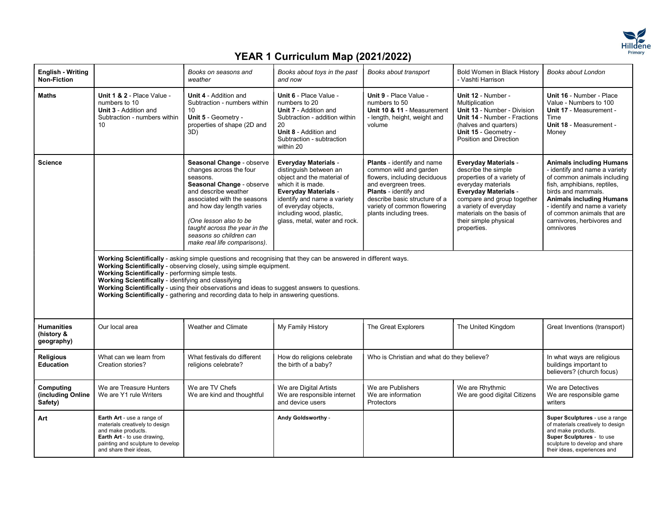

## YEAR 1 Curriculum Map (2021/2022)

| <b>English - Writing</b><br><b>Non-Fiction</b> |                                                                                                                                                                                                                                                                                                                                                                                                                                                                                            | Books on seasons and<br>weather                                                                                                                                                                                                                                                                         | Books about toys in the past<br>and now                                                                                                                                                                                                                     | Books about transport                                                                                                                                                                                                                   | Bold Women in Black History<br>- Vashti Harrison                                                                                                                                                                                                                  | Books about London                                                                                                                                                                                                                                                                                |  |  |  |
|------------------------------------------------|--------------------------------------------------------------------------------------------------------------------------------------------------------------------------------------------------------------------------------------------------------------------------------------------------------------------------------------------------------------------------------------------------------------------------------------------------------------------------------------------|---------------------------------------------------------------------------------------------------------------------------------------------------------------------------------------------------------------------------------------------------------------------------------------------------------|-------------------------------------------------------------------------------------------------------------------------------------------------------------------------------------------------------------------------------------------------------------|-----------------------------------------------------------------------------------------------------------------------------------------------------------------------------------------------------------------------------------------|-------------------------------------------------------------------------------------------------------------------------------------------------------------------------------------------------------------------------------------------------------------------|---------------------------------------------------------------------------------------------------------------------------------------------------------------------------------------------------------------------------------------------------------------------------------------------------|--|--|--|
| <b>Maths</b>                                   | Unit 1 & 2 - Place Value -<br>numbers to 10<br>Unit 3 - Addition and<br>Subtraction - numbers within<br>10                                                                                                                                                                                                                                                                                                                                                                                 | <b>Unit 4 - Addition and</b><br>Subtraction - numbers within<br>Unit 5 - Geometry -<br>properties of shape (2D and<br>3D)                                                                                                                                                                               | Unit 6 - Place Value -<br>numbers to 20<br><b>Unit 7 - Addition and</b><br>Subtraction - addition within<br>20<br>Unit 8 - Addition and<br>Subtraction - subtraction<br>within 20                                                                           | Unit 9 - Place Value -<br>numbers to 50<br>Unit 10 & 11 - Measurement<br>- length, height, weight and<br>volume                                                                                                                         | Unit 12 - Number -<br>Multiplication<br><b>Unit 13 - Number - Division</b><br><b>Unit 14 - Number - Fractions</b><br>(halves and quarters)<br>Unit 15 - Geometry -<br>Position and Direction                                                                      | Unit 16 - Number - Place<br>Value - Numbers to 100<br>Unit 17 - Measurement -<br>Time<br>Unit 18 - Measurement -<br>Money                                                                                                                                                                         |  |  |  |
| <b>Science</b>                                 |                                                                                                                                                                                                                                                                                                                                                                                                                                                                                            | Seasonal Change - observe<br>changes across the four<br>seasons.<br>Seasonal Change - observe<br>and describe weather<br>associated with the seasons<br>and how day length varies<br>(One lesson also to be<br>taught across the year in the<br>seasons so children can<br>make real life comparisons). | <b>Everyday Materials -</b><br>distinguish between an<br>object and the material of<br>which it is made.<br><b>Everyday Materials -</b><br>identify and name a variety<br>of everyday objects,<br>including wood, plastic,<br>glass, metal, water and rock. | <b>Plants</b> - identify and name<br>common wild and garden<br>flowers, including deciduous<br>and evergreen trees.<br>Plants - identify and<br>describe basic structure of a<br>variety of common flowering<br>plants including trees. | <b>Everyday Materials -</b><br>describe the simple<br>properties of a variety of<br>everyday materials<br><b>Everyday Materials -</b><br>compare and group together<br>a variety of everyday<br>materials on the basis of<br>their simple physical<br>properties. | <b>Animals including Humans</b><br>- identify and name a variety<br>of common animals including<br>fish, amphibians, reptiles,<br>birds and mammals.<br><b>Animals including Humans</b><br>- identify and name a variety<br>of common animals that are<br>carnivores, herbivores and<br>omnivores |  |  |  |
|                                                | Working Scientifically - asking simple questions and recognising that they can be answered in different ways.<br>Working Scientifically - observing closely, using simple equipment.<br>Working Scientifically - performing simple tests.<br>Working Scientifically - identifying and classifying<br>Working Scientifically - using their observations and ideas to suggest answers to questions.<br>Working Scientifically - gathering and recording data to help in answering questions. |                                                                                                                                                                                                                                                                                                         |                                                                                                                                                                                                                                                             |                                                                                                                                                                                                                                         |                                                                                                                                                                                                                                                                   |                                                                                                                                                                                                                                                                                                   |  |  |  |
| <b>Humanities</b><br>(history &<br>geography)  | Our local area                                                                                                                                                                                                                                                                                                                                                                                                                                                                             | Weather and Climate                                                                                                                                                                                                                                                                                     | My Family History                                                                                                                                                                                                                                           | The Great Explorers                                                                                                                                                                                                                     | The United Kingdom                                                                                                                                                                                                                                                | Great Inventions (transport)                                                                                                                                                                                                                                                                      |  |  |  |
| <b>Religious</b><br><b>Education</b>           | What can we learn from<br>Creation stories?                                                                                                                                                                                                                                                                                                                                                                                                                                                | What festivals do different<br>religions celebrate?                                                                                                                                                                                                                                                     | How do religions celebrate<br>the birth of a baby?                                                                                                                                                                                                          | Who is Christian and what do they believe?                                                                                                                                                                                              |                                                                                                                                                                                                                                                                   | In what ways are religious<br>buildings important to<br>believers? (church focus)                                                                                                                                                                                                                 |  |  |  |
| Computing<br>(including Online<br>Safety)      | We are Treasure Hunters<br>We are Y1 rule Writers                                                                                                                                                                                                                                                                                                                                                                                                                                          | We are TV Chefs<br>We are kind and thoughtful                                                                                                                                                                                                                                                           | We are Digital Artists<br>We are responsible internet<br>and device users                                                                                                                                                                                   | We are Publishers<br>We are information<br>Protectors                                                                                                                                                                                   | We are Rhythmic<br>We are good digital Citizens                                                                                                                                                                                                                   | We are Detectives<br>We are responsible game<br>writers                                                                                                                                                                                                                                           |  |  |  |
| Art                                            | Earth Art - use a range of<br>materials creatively to design<br>and make products.<br>Earth Art - to use drawing,<br>painting and sculpture to develop<br>and share their ideas,                                                                                                                                                                                                                                                                                                           |                                                                                                                                                                                                                                                                                                         | Andy Goldsworthy -                                                                                                                                                                                                                                          |                                                                                                                                                                                                                                         |                                                                                                                                                                                                                                                                   | Super Sculptures - use a range<br>of materials creatively to design<br>and make products.<br>Super Sculptures - to use<br>sculpture to develop and share<br>their ideas, experiences and                                                                                                          |  |  |  |